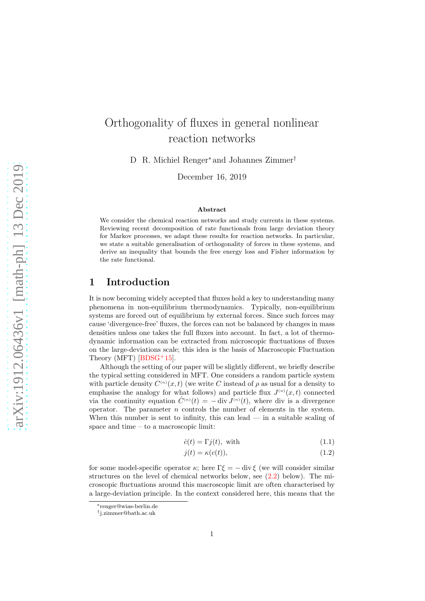# Orthogonality of fluxes in general nonlinear reaction networks

D R. Michiel Renger<sup>∗</sup> and Johannes Zimmer†

December 16, 2019

#### Abstract

We consider the chemical reaction networks and study currents in these systems. Reviewing recent decomposition of rate functionals from large deviation theory for Markov processes, we adapt these results for reaction networks. In particular, we state a suitable generalisation of orthogonality of forces in these systems, and derive an inequality that bounds the free energy loss and Fisher information by the rate functional.

### 1 Introduction

It is now becoming widely accepted that fluxes hold a key to understanding many phenomena in non-equilibrium thermodynamics. Typically, non-equilibrium systems are forced out of equilibrium by external forces. Since such forces may cause 'divergence-free' fluxes, the forces can not be balanced by changes in mass densities unless one takes the full fluxes into account. In fact, a lot of thermodynamic information can be extracted from microscopic fluctuations of fluxes on the large-deviations scale; this idea is the basis of Macroscopic Fluctuation Theory (MFT)  $[BDSG^+15]$ .

Although the setting of our paper will be slightly different, we briefly describe the typical setting considered in MFT. One considers a random particle system with particle density  $C^{(n)}(x,t)$  (we write C instead of  $\rho$  as usual for a density to emphasise the analogy for what follows) and particle flux  $J^{(n)}(x,t)$  connected via the continuity equation  $C^{(n)}(t) = -\operatorname{div} J^{(n)}(t)$ , where div is a divergence operator. The parameter  $n$  controls the number of elements in the system. When this number is sent to infinity, this can lead  $\overline{\phantom{a}}$  in a suitable scaling of space and time – to a macroscopic limit:

<span id="page-0-0"></span>
$$
\dot{c}(t) = \Gamma j(t), \text{ with} \tag{1.1}
$$

<span id="page-0-1"></span>
$$
j(t) = \kappa(c(t)),\tag{1.2}
$$

for some model-specific operator  $\kappa$ ; here  $\Gamma \xi = - \operatorname{div} \xi$  (we will consider similar structures on the level of chemical networks below, see [\(2.2\)](#page-3-0) below). The microscopic fluctuations around this macroscopic limit are often characterised by a large-deviation principle. In the context considered here, this means that the

<sup>∗</sup>renger@wias-berlin.de

<sup>†</sup> j.zimmer@bath.ac.uk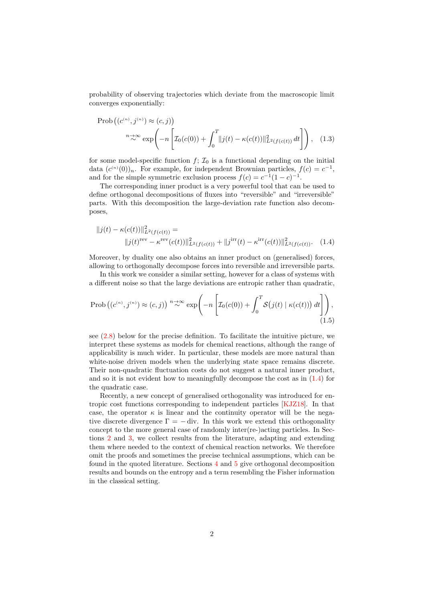probability of observing trajectories which deviate from the macroscopic limit converges exponentially:

$$
\text{Prob}\left((c^{(n)}, j^{(n)}) \approx (c, j)\right)
$$
\n
$$
\sum_{n \to \infty}^{n} \exp\left(-n \left[\mathcal{I}_0(c(0)) + \int_0^T ||j(t) - \kappa(c(t))||^2_{L^2(f(c(t))} dt\right]\right), \quad (1.3)
$$

for some model-specific function  $f: \mathcal{I}_0$  is a functional depending on the initial data  $(c^{(n)}(0))_n$ . For example, for independent Brownian particles,  $f(c) = c^{-1}$ , and for the simple symmetric exclusion process  $f(c) = c^{-1}(1-c)^{-1}$ .

The corresponding inner product is a very powerful tool that can be used to define orthogonal decompositions of fluxes into "reversible" and "irreversible" parts. With this decomposition the large-deviation rate function also decomposes,

<span id="page-1-0"></span>
$$
||j(t) - \kappa(c(t))||_{L^2(f(c(t))}^2 =
$$
  
\n
$$
||j(t)^{\text{rev}} - \kappa^{\text{rev}}(c(t))||_{L^2(f(c(t))}^2 + ||j^{\text{irr}}(t) - \kappa^{\text{irr}}(c(t))||_{L^2(f(c(t))}^2.
$$
 (1.4)

Moreover, by duality one also obtains an inner product on (generalised) forces, allowing to orthogonally decompose forces into reversible and irreversible parts.

In this work we consider a similar setting, however for a class of systems with a different noise so that the large deviations are entropic rather than quadratic,

<span id="page-1-1"></span>
$$
\text{Prob}\left((c^{(n)}, j^{(n)}) \approx (c, j)\right) \stackrel{n \to \infty}{\sim} \exp\left(-n \left[\mathcal{I}_0(c(0)) + \int_0^T \mathcal{S}\big(j(t) \mid \kappa(c(t))\big) dt\right]\right),\tag{1.5}
$$

see [\(2.8\)](#page-5-0) below for the precise definition. To facilitate the intuitive picture, we interpret these systems as models for chemical reactions, although the range of applicability is much wider. In particular, these models are more natural than white-noise driven models when the underlying state space remains discrete. Their non-quadratic fluctuation costs do not suggest a natural inner product, and so it is not evident how to meaningfully decompose the cost as in [\(1.4\)](#page-1-0) for the quadratic case.

Recently, a new concept of generalised orthogonality was introduced for entropic cost functions corresponding to independent particles [\[KJZ18\]](#page-13-1). In that case, the operator  $\kappa$  is linear and the continuity operator will be the negative discrete divergence  $\Gamma = -$  div. In this work we extend this orthogonality concept to the more general case of randomly inter(re-)acting particles. In Sections [2](#page-2-0) and [3,](#page-6-0) we collect results from the literature, adapting and extending them where needed to the context of chemical reaction networks. We therefore omit the proofs and sometimes the precise technical assumptions, which can be found in the quoted literature. Sections [4](#page-9-0) and [5](#page-10-0) give orthogonal decomposition results and bounds on the entropy and a term resembling the Fisher information in the classical setting.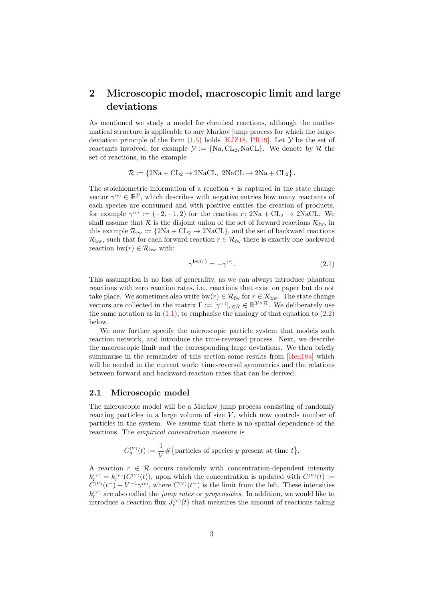## <span id="page-2-0"></span>2 Microscopic model, macroscopic limit and large deviations

As mentioned we study a model for chemical reactions, although the mathematical structure is applicable to any Markov jump process for which the largedeviation principle of the form  $(1.5)$  holds [\[KJZ18,](#page-13-1) [PR19\]](#page-14-0). Let  $\mathcal Y$  be the set of reactants involved, for example  $\mathcal{Y} := \{Na, CL_2, NaCL\}$ . We denote by  $\mathcal{R}$  the set of reactions, in the example

 $\mathcal{R} := \{2Na + CL_2 \rightarrow 2NaCL, 2NaCL \rightarrow 2Na + CL_2\}.$ 

The stoichiometric information of a reaction  $r$  is captured in the state change vector  $\gamma^{(r)} \in \mathbb{R}^{\mathcal{Y}}$ , which describes with negative entries how many reactants of each species are consumed and with positive entries the creation of products, for example  $\gamma^{(r)} := (-2, -1, 2)$  for the reaction  $r: 2\text{Na} + \text{CL}_2 \rightarrow 2\text{NaCL}$ . We shall assume that  $\mathcal R$  is the disjoint union of the set of forward reactions  $\mathcal R_{\rm fw}$ , in this example  $\mathcal{R}_{fw} := \{2Na + CL_2 \rightarrow 2NaCL\}$ , and the set of backward reactions  $\mathcal{R}_{\text{bw}}$ , such that for each forward reaction  $r \in \mathcal{R}_{\text{fw}}$  there is exactly one backward reaction bw $(r) \in \mathcal{R}_{\text{bw}}$  with:

<span id="page-2-1"></span>
$$
\gamma^{\text{bw}(r)} = -\gamma^{(r)}.\tag{2.1}
$$

This assumption is no loss of generality, as we can always introduce phantom reactions with zero reaction rates, i.e., reactions that exist on paper but do not take place. We sometimes also write bw $(r) \in \mathcal{R}_{fw}$  for  $r \in \mathcal{R}_{bw}$ . The state change vectors are collected in the matrix  $\Gamma := [\gamma^{(r)}]_{r \in \mathcal{R}} \in \mathbb{R}^{\mathcal{Y} \times \mathcal{R}}$ . We deliberately use the same notation as in  $(1.1)$ , to emphasise the analogy of that equation to  $(2.2)$ below.

We now further specify the microscopic particle system that models such reaction network, and introduce the time-reversed process. Next, we describe the macroscopic limit and the corresponding large deviations. We then briefly summarise in the remainder of this section some results from [\[Ren18a\]](#page-14-1) which will be needed in the current work: time-reversal symmetries and the relations between forward and backward reaction rates that can be derived.

#### 2.1 Microscopic model

The microscopic model will be a Markov jump process consisting of randomly reacting particles in a large volume of size  $V$ , which now controls number of particles in the system. We assume that there is no spatial dependence of the reactions. The empirical concentration measure is

$$
C_y^{(V)}(t) := \frac{1}{V} \# \{ \text{particles of species } y \text{ present at time } t \}.
$$

A reaction  $r \in \mathcal{R}$  occurs randomly with concentration-dependent intensity  $k_r^{(V)} = k_r^{(V)}(C^{(V)}(t))$ , upon which the concentration is updated with  $C^{(V)}(t) :=$  $C^{(V)}(t^-) + V^{-1}\gamma^{(r)}$ , where  $C^{(V)}(t^-)$  is the limit from the left. These intensities  $k_r^{(V)}$  are also called the *jump rates* or *propensities*. In addition, we would like to introduce a reaction flux  $J_r^{(V)}(t)$  that measures the amount of reactions taking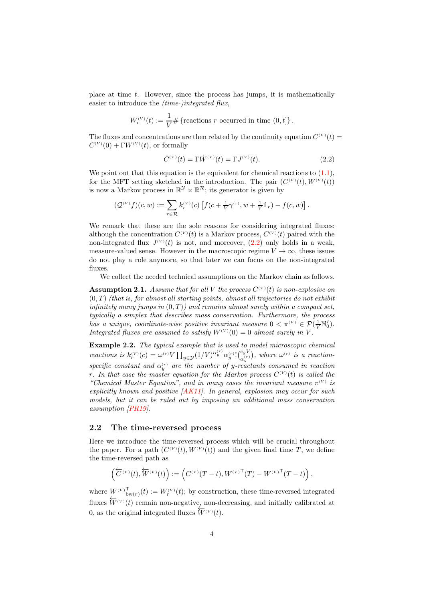place at time  $t$ . However, since the process has jumps, it is mathematically easier to introduce the *(time-)integrated flux,* 

$$
W_r^{(V)}(t) := \frac{1}{V} \# \{ \text{reactions } r \text{ occurred in time } (0, t] \}.
$$

The fluxes and concentrations are then related by the continuity equation  $C^{(V)}(t)$  $C^{(V)}(0) + \Gamma W^{(V)}(t)$ , or formally

<span id="page-3-0"></span>
$$
\dot{C}^{(V)}(t) = \Gamma \dot{W}^{(V)}(t) = \Gamma J^{(V)}(t). \tag{2.2}
$$

We point out that this equation is the equivalent for chemical reactions to  $(1.1)$ , for the MFT setting sketched in the introduction. The pair  $(C^{(V)}(t), W^{(V)}(t))$ is now a Markov process in  $\mathbb{R}^{\mathcal{Y}} \times \mathbb{R}^{\mathcal{R}}$ ; its generator is given by

$$
\big(\mathcal{Q}^{(V)}f\big)(c,w):=\sum_{r\in\mathcal{R}}k^{(V)}_r(c)\left[f\big(c+\tfrac{1}{V}\gamma^{(r)},w+\tfrac{1}{V}\mathbb{1}_r\big)-f\big(c,w\big)\right].
$$

We remark that these are the sole reasons for considering integrated fluxes: although the concentration  $C^{(V)}(t)$  is a Markov process,  $C^{(V)}(t)$  paired with the non-integrated flux  $J^{(V)}(t)$  is not, and moreover,  $(2.2)$  only holds in a weak, measure-valued sense. However in the macroscopic regime  $V \to \infty$ , these issues do not play a role anymore, so that later we can focus on the non-integrated fluxes.

We collect the needed technical assumptions on the Markov chain as follows.

<span id="page-3-1"></span>**Assumption 2.1.** Assume that for all V the process  $C^{(V)}(t)$  is non-explosive on  $(0, T)$  (that is, for almost all starting points, almost all trajectories do not exhibit infinitely many jumps in  $(0,T)$ ) and remains almost surely within a compact set, typically a simplex that describes mass conservation. Furthermore, the process has a unique, coordinate-wise positive invariant measure  $0 < \pi^{(V)} \in \mathcal{P}(\frac{1}{V} \mathbb{N}_0^I)$ . Integrated fluxes are assumed to satisfy  $W^{(V)}(0) = 0$  almost surely in V.

<span id="page-3-2"></span>**Example 2.2.** The typical example that is used to model microscopic chemical reactions is  $k_r^{(V)}(c) = \omega^{(r)} V \prod_{y \in \mathcal{Y}} (1/V)^{\alpha_y^{(r)}} \alpha_y^{(r)}! {c_y^{(r)} \choose \alpha_y^{(r)}}$ , where  $\omega^{(r)}$  is a reactionspecific constant and  $\alpha_{y}^{(r)}$  are the number of y-reactants consumed in reaction r. In that case the master equation for the Markov process  $C^{(V)}(t)$  is called the "Chemical Master Equation", and in many cases the invariant measure  $\pi^{(V)}$  is explicitly known and positive  $[AK11]$ . In general, explosion may occur for such models, but it can be ruled out by imposing an additional mass conservation assumption [\[PR19\]](#page-14-0).

#### <span id="page-3-3"></span>2.2 The time-reversed process

Here we introduce the time-reversed process which will be crucial throughout the paper. For a path  $(C^{(V)}(t), W^{(V)}(t))$  and the given final time T, we define the time-reversed path as

$$
\left(\overleftarrow{C}^{(V)}(t),\overleftarrow{W}^{(V)}(t)\right):=\left(C^{(V)}(T-t),W^{(V)}{}^{\mathsf{T}}(T)-W^{(V)}{}^{\mathsf{T}}(T-t)\right),\right.
$$

where  $W^{(V)}{}_{\text{bw}(r)}^{\text{T}}(t) := W^{(V)}(t)$ ; by construction, these time-reversed integrated fluxes  $\overleftarrow{W}^{(V)}(t)$  remain non-negative, non-decreasing, and initially calibrated at 0, as the original integrated fluxes  $\overleftarrow{W}^{(V)}(t)$ .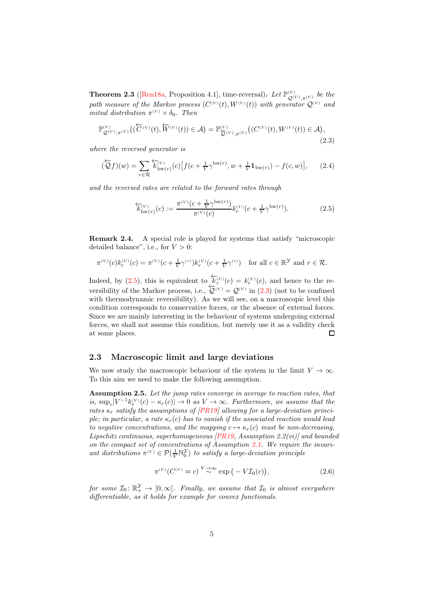**Theorem 2.3** ([\[Ren18a,](#page-14-1) Proposition 4.1], time-reversal). Let  $\mathbb{P}_{\mathcal{Q}^{(V)}, \pi^{(V)}}^{(V)}$  be the path measure of the Markov process  $(C^{(V)}(t), W^{(V)}(t))$  with generator  $\mathcal{Q}^{(V)}$  and *initial distribution*  $\pi^{(V)} \times \delta_0$ . *Then* 

<span id="page-4-1"></span>
$$
\mathbb{P}_{\mathcal{Q}^{(V)},\pi^{(V)}}^{\mathcal{W}}\big((\overleftarrow{C}^{(V)}(t),\overleftarrow{W}^{(V)}(t))\in\mathcal{A}\big)=\mathbb{P}_{\overleftarrow{\mathcal{Q}}^{(V)},\pi^{(V)}}^{\mathcal{W}}\big((C^{(V)}(t),W^{(V)}(t))\in\mathcal{A}\big),\tag{2.3}
$$

where the reversed generator is

$$
\left(\overleftarrow{Q}f\right)(w) = \sum_{r \in \mathcal{R}} \overleftarrow{k}_{\text{bw}(r)}^{(V)}(c) \left[ f(c + \frac{1}{V} \gamma^{\text{bw}(r)}, w + \frac{1}{V} \mathbb{1}_{\text{bw}(r)}) - f(c, w) \right],\tag{2.4}
$$

and the reversed rates are related to the forward rates through

<span id="page-4-0"></span>
$$
\overleftarrow{k}_{\text{bw}(r)}^{(V)}(c) := \frac{\pi^{(V)}(c + \frac{1}{V}\gamma^{\text{bw}(r)})}{\pi^{(V)}(c)} k_r^{(V)}(c + \frac{1}{V}\gamma^{\text{bw}(r)}).
$$
(2.5)

<span id="page-4-2"></span>Remark 2.4. A special role is played for systems that satisfy "microscopic detailed balance", i.e., for  $V > 0$ :

$$
\pi^{(V)}(c)k_r^{(V)}(c) = \pi^{(V)}(c + \frac{1}{V}\gamma^{(r)})k_r^{(V)}(c + \frac{1}{V}\gamma^{(r)}) \text{ for all } c \in \mathbb{R}^{\mathcal{Y}} \text{ and } r \in \mathcal{R}.
$$

Indeed, by [\(2.5\)](#page-4-0), this is equivalent to  $\overline{k_r^{(V)}(c)} = k_r^{(V)}(c)$ , and hence to the reversibility of the Markov process, i.e.,  $\overleftarrow{Q}^{(V)} = Q^{(V)}$  in [\(2.3\)](#page-4-1) (not to be confused with thermodynamic reversibility). As we will see, on a macroscopic level this condition corresponds to conservative forces, or the absence of external forces. Since we are mainly interesting in the behaviour of systems undergoing external forces, we shall not assume this condition, but merely use it as a validity check at some places.  $\Box$ 

#### 2.3 Macroscopic limit and large deviations

We now study the macroscopic behaviour of the system in the limit  $V \to \infty$ . To this aim we need to make the following assumption.

Assumption 2.5. Let the jump rates converge in average to reaction rates, that is,  $\sup_c |V^{-1}k_r^{(V)}(c) - \kappa_r(c)| \to 0$  as  $V \to \infty$ . Furthermore, we assume that the rates  $\kappa_r$  satisfy the assumptions of [\[PR19\]](#page-14-0) allowing for a large-deviation principle; in particular, a rate  $\kappa_r(c)$  has to vanish if the associated reaction would lead to negative concentrations, and the mapping  $c \mapsto \kappa_r(c)$  must be non-decreasing, Lipschitz continuous, superhomogeneous  $[PR19, Assumption 2.2(vi)]$  and bounded on the compact set of concentrations of Assumption [2.1.](#page-3-1) We require the invariant distributions  $\pi^{(V)} \in \mathcal{P}(\frac{1}{V} \mathbb{N}_0^{\mathcal{Y}})$  to satisfy a large-deviation principle

<span id="page-4-3"></span>
$$
\pi^{(V)}(C^{(V)} \approx c)^{V \to \infty} \exp(-V \mathcal{I}_0(c)), \tag{2.6}
$$

for some  $\mathcal{I}_0: \mathbb{R}_+^{\mathcal{Y}} \to [0, \infty]$ . Finally, we assume that  $\mathcal{I}_0$  is almost everywhere differentiable, as it holds for example for convex functionals.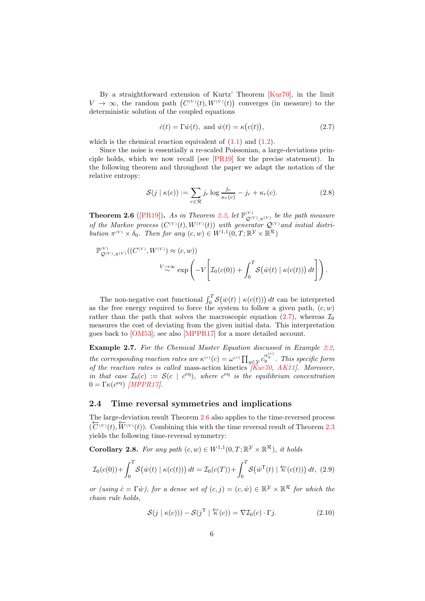By a straightforward extension of Kurtz' Theorem [\[Kur70\]](#page-14-2), in the limit  $V \to \infty$ , the random path  $(C^{(V)}(t), W^{(V)}(t))$  converges (in measure) to the deterministic solution of the coupled equations

<span id="page-5-1"></span>
$$
\dot{c}(t) = \Gamma \dot{w}(t), \text{ and } \dot{w}(t) = \kappa (c(t)), \qquad (2.7)
$$

which is the chemical reaction equivalent of  $(1.1)$  and  $(1.2)$ .

Since the noise is essentially a re-scaled Poissonian, a large-deviations principle holds, which we now recall (see [\[PR19\]](#page-14-0) for the precise statement). In the following theorem and throughout the paper we adapt the notation of the relative entropy:

<span id="page-5-0"></span>
$$
\mathcal{S}(j \mid \kappa(c)) := \sum_{r \in \mathcal{R}} j_r \log \frac{j_r}{\kappa_r(c)} - j_r + \kappa_r(c). \tag{2.8}
$$

<span id="page-5-2"></span>**Theorem 2.6** ([\[PR19\]](#page-14-0)). As in Theorem [2.3,](#page-4-0) let  $\mathbb{P}_{\mathcal{Q}^{(V)}, \pi^{(V)}}^{(V)}$  be the path measure of the Markov process  $(C^{(V)}(t), W^{(V)}(t))$  with generator  $Q^{(V)}$  and initial distribution  $\pi^{(V)} \times \delta_0$ . Then for any  $(c, w) \in W^{1,1}(0, T; \mathbb{R}^{\mathcal{Y}} \times \mathbb{R}^{\mathcal{R}})$ 

$$
\mathbb{P}_{\mathcal{Q}^{(V)},\pi^{(V)}}^{(V)}((C^{(V)},W^{(V)})\approx(c,w))
$$
  

$$
V\rightleftharpoons \infty \exp\left(-V\left[\mathcal{I}_0(c(0)) + \int_0^T \mathcal{S}(\dot{w}(t) \mid \kappa(c(t))) dt\right]\right).
$$

The non-negative cost functional  $\int_0^T S(\dot{w}(t) | \kappa(c(t))) dt$  can be interpreted as the free energy required to force the system to follow a given path,  $(c, w)$ rather than the path that solves the macroscopic equation [\(2.7\)](#page-5-1), whereas  $\mathcal{I}_0$ measures the cost of deviating from the given initial data. This interpretation goes back to [\[OM53\]](#page-14-3); see also [\[MPPR17\]](#page-14-4) for a more detailed account.

Example 2.7. For the Chemical Master Equation discussed in Example [2.2,](#page-3-2) the corresponding reaction rates are  $\kappa^{(r)}(c) = \omega^{(r)} \prod_{y \in \mathcal{Y}} c_y^{\alpha_y^{(r)}}$ . This specific form of the reaction rates is called mass-action kinetics  $[Kur70, AK11]$  $[Kur70, AK11]$  $[Kur70, AK11]$ . Moreover, in that case  $\mathcal{I}_0(c) := \mathcal{S}(c \mid c^{eq})$ , where  $c^{eq}$  is the equilibrium concentration  $0 = \Gamma \kappa (c^{\text{eq}})$  [\[MPPR17\]](#page-14-4).

#### <span id="page-5-4"></span>2.4 Time reversal symmetries and implications

The large-deviation result Theorem [2.6](#page-5-2) also applies to the time-reversed process  $(\overleftarrow{C}^{(V)}(t), \overleftarrow{W}^{(V)}(t))$ . Combining this with the time reversal result of Theorem [2.3](#page-4-0) yields the following time-reversal symmetry:

**Corollary 2.8.** For any path  $(c, w) \in W^{1,1}(0, T; \mathbb{R}^{\mathcal{Y}} \times \mathbb{R}^{\mathcal{R}})$ , it holds

$$
\mathcal{I}_0(c(0)) + \int_0^T \mathcal{S}(\dot{w}(t) \mid \kappa(c(t))) dt = \mathcal{I}_0(c(T)) + \int_0^T \mathcal{S}(\dot{w}^\mathsf{T}(t) \mid \overleftarrow{\kappa}(c(t))) dt, (2.9)
$$

or (using  $\dot{c} = \Gamma \dot{w}$ ), for a dense set of  $(c, j) = (c, \dot{w}) \in \mathbb{R}^{\mathcal{Y}} \times \mathbb{R}^{\mathcal{R}}$  for which the chain rule holds,

<span id="page-5-3"></span>
$$
\mathcal{S}(j \mid \kappa(c))) - \mathcal{S}(j^{\mathsf{T}} \mid \overleftarrow{\kappa}(c)) = \nabla \mathcal{I}_0(c) \cdot \Gamma j. \tag{2.10}
$$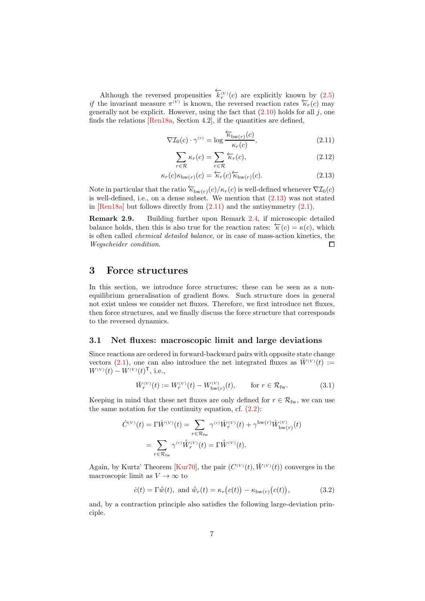Although the reversed propensities  $\overleftarrow{k}_r^{(V)}(c)$  are explicitly known by [\(2.5\)](#page-4-0) if the invariant measure  $\pi^{(V)}$  is known, the reversed reaction rates  $\overleftarrow{\kappa}_r(c)$  may generally not be explicit. However, using the fact that  $(2.10)$  holds for all j, one finds the relations [\[Ren18a,](#page-14-1) Section 4.2], if the quantities are defined,

$$
\nabla \mathcal{I}_0(c) \cdot \gamma^{(r)} = \log \frac{\overleftarrow{\kappa}_{\text{bw}(r)}(c)}{\kappa_r(c)},\tag{2.11}
$$

<span id="page-6-6"></span><span id="page-6-2"></span><span id="page-6-1"></span>
$$
\sum_{r \in \mathcal{R}} \kappa_r(c) = \sum_{r \in \mathcal{R}} \overleftarrow{\kappa}_r(c),\tag{2.12}
$$

$$
\kappa_r(c)\kappa_{\mathrm{bw}(r)}(c) = \overleftarrow{\kappa}_r(c)\overleftarrow{\kappa}_{\mathrm{bw}(r)}(c). \tag{2.13}
$$

Note in particular that the ratio  $\overleftarrow{\kappa}_{bw(r)}(c)/\kappa_r(c)$  is well-defined whenever  $\nabla \mathcal{I}_0(c)$ is well-defined, i.e., on a dense subset. We mention that  $(2.13)$  was not stated in [\[Ren18a\]](#page-14-1) but follows directly from  $(2.11)$  and the antisymmetry  $(2.1)$ .

<span id="page-6-4"></span>Remark 2.9. Building further upon Remark [2.4,](#page-4-2) if microscopic detailed balance holds, then this is also true for the reaction rates:  $\overleftarrow{\kappa}(c) = \kappa(c)$ , which is often called chemical detailed balance, or in case of mass-action kinetics, the Wegscheider condition.  $\square$ 

### <span id="page-6-0"></span>3 Force structures

In this section, we introduce force structures; these can be seen as a nonequilibrium generalisation of gradient flows. Such structure does in general not exist unless we consider net fluxes. Therefore, we first introduce net fluxes, then force structures, and we finally discuss the force structure that corresponds to the reversed dynamics.

#### 3.1 Net fluxes: macroscopic limit and large deviations

Since reactions are ordered in forward-backward pairs with opposite state change vectors [\(2.1\)](#page-2-1), one can also introduce the net integrated fluxes as  $\bar{W}^{(V)}(t) :=$  $W^{(V)}(t) - W^{(V)}(t)^{\mathsf{T}},$  i.e.,

<span id="page-6-5"></span>
$$
\bar{W}_r^{(V)}(t) := W_r^{(V)}(t) - W_{\text{bw}(r)}^{(V)}(t), \qquad \text{for } r \in \mathcal{R}_{\text{fw}}.\tag{3.1}
$$

Keeping in mind that these net fluxes are only defined for  $r \in \mathcal{R}_{fw}$ , we can use the same notation for the continuity equation, cf.  $(2.2)$ :

$$
\dot{C}^{(V)}(t) = \Gamma \dot{W}^{(V)}(t) = \sum_{r \in \mathcal{R}_{\text{fw}}} \gamma^{(r)} \dot{W}_r^{(V)}(t) + \gamma^{\text{bw}(r)} \dot{W}_{\text{bw}(r)}^{(V)}(t)
$$
\n
$$
= \sum_{r \in \mathcal{R}_{\text{fw}}} \gamma^{(r)} \dot{\overline{W}}_r^{(V)}(t) = \Gamma \dot{\overline{W}}^{(V)}(t).
$$

Again, by Kurtz' Theorem [\[Kur70\]](#page-14-2), the pair  $(C^{(V)}(t), \bar{W}^{(V)}(t))$  converges in the macroscopic limit as  $V\rightarrow\infty$  to

<span id="page-6-3"></span>
$$
\dot{c}(t) = \Gamma \dot{\overline{w}}(t), \text{ and } \dot{\overline{w}}_r(t) = \kappa_r (c(t)) - \kappa_{\text{bw}(r)} (c(t)), \tag{3.2}
$$

and, by a contraction principle also satisfies the following large-deviation principle.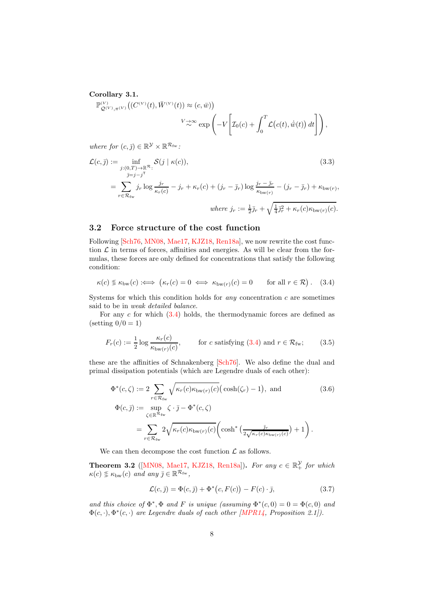#### <span id="page-7-3"></span>Corollary 3.1.

$$
\mathbb{P}_{\mathcal{Q}^{(V)},\pi^{(V)}}^{\mathcal{Q}^{(V)}}\big((C^{(V)}(t),\bar{W}^{(V)}(t))\approx(c,\bar{w})\big) \n\qquad \qquad \sum_{\alpha\gamma\gamma\gamma\gamma} \exp\left(-V\left[\mathcal{I}_0(c)+\int_0^T \mathcal{L}\big(c(t),\dot{\bar{w}}(t)\big)\,dt\right]\right),
$$

where for  $(c, \bar{j}) \in \mathbb{R}^{\mathcal{Y}} \times \mathbb{R}^{\mathcal{R}_{\text{fw}}}.$ 

$$
\mathcal{L}(c,\bar{j}) := \inf_{\substack{j:(0,T)\to\mathbb{R}^{\mathcal{R}}:\\ \bar{j}=j-j^{\mathcal{T}}}} \mathcal{S}(j \mid \kappa(c)),
$$
\n
$$
= \sum_{r\in\mathcal{R}_{\text{fw}}} j_r \log \frac{j_r}{\kappa_r(c)} - j_r + \kappa_r(c) + (j_r - \bar{j}_r) \log \frac{j_r - \bar{j}_r}{\kappa_{\text{bw}(r)}} - (j_r - \bar{j}_r) + \kappa_{\text{bw}(r)},
$$
\n
$$
\text{where } j_r := \frac{1}{2}\bar{j}_r + \sqrt{\frac{1}{4}\bar{j}_r^2 + \kappa_r(c)\kappa_{\text{bw}(r)}(c)}.
$$
\n(3.3)

#### 3.2 Force structure of the cost function

Following [\[Sch76,](#page-14-5) [MN08,](#page-14-6) [Mae17,](#page-14-7) [KJZ18,](#page-13-1) [Ren18a\]](#page-14-1), we now rewrite the cost function  $\mathcal L$  in terms of forces, affinities and energies. As will be clear from the formulas, these forces are only defined for concentrations that satisfy the following condition:

<span id="page-7-0"></span>κ(c) ≪≫ κbw(c) :⇐⇒ κr(c) = 0 ⇐⇒ κbw(r)(c) = 0 for all r ∈ R . (3.4)

Systems for which this condition holds for *any* concentration  $c$  are sometimes said to be in weak detailed balance.

For any  $c$  for which  $(3.4)$  holds, the thermodynamic forces are defined as (setting  $0/0 = 1$ )

<span id="page-7-1"></span>
$$
F_r(c) := \frac{1}{2} \log \frac{\kappa_r(c)}{\kappa_{\text{bw}(r)}(c)}, \qquad \text{for } c \text{ satisfying (3.4) and } r \in \mathcal{R}_{\text{fw}}; \tag{3.5}
$$

these are the affinities of Schnakenberg [\[Sch76\]](#page-14-5). We also define the dual and primal dissipation potentials (which are Legendre duals of each other):

$$
\Phi^*(c,\zeta) := 2 \sum_{r \in \mathcal{R}_{\text{fw}}} \sqrt{\kappa_r(c)\kappa_{\text{bw}(r)}(c)} \left(\cosh(\zeta_r) - 1\right), \text{ and} \tag{3.6}
$$
\n
$$
\Phi(c,\bar{j}) := \sup_{\zeta \in \mathbb{R}^{\mathcal{R}_{\text{fw}}}} \zeta \cdot \bar{j} - \Phi^*(c,\zeta)
$$
\n
$$
= \sum_{r \in \mathcal{R}_{\text{fw}}} 2\sqrt{\kappa_r(c)\kappa_{\text{bw}(r)}(c)} \left(\cosh^*\left(\frac{\bar{j}_r}{2\sqrt{\kappa_r(c)\kappa_{\text{bw}(r)}(c)}}\right) + 1\right).
$$

We can then decompose the cost function  $\mathcal L$  as follows.

**Theorem 3.2** ([\[MN08,](#page-14-6) [Mae17,](#page-14-7) [KJZ18,](#page-13-1) [Ren18a\]](#page-14-1)). For any  $c \in \mathbb{R}^{\mathcal{Y}}_+$  for which  $\kappa(c) \n\lessgtr \kappa_{\text{bw}}(c)$  and any  $\bar{\jmath} \in \mathbb{R}^{\mathcal{R}_{\text{fw}}},$ 

<span id="page-7-4"></span><span id="page-7-2"></span>
$$
\mathcal{L}(c,\bar{y}) = \Phi(c,\bar{y}) + \Phi^*(c, F(c)) - F(c) \cdot \bar{y},\tag{3.7}
$$

and this choice of  $\Phi^*, \Phi$  and F is unique (assuming  $\Phi^*(c,0) = 0 = \Phi(c,0)$  and  $\Phi(c, \cdot), \Phi^*(c, \cdot)$  are Legendre duals of each other [\[MPR14,](#page-14-8) Proposition 2.1]).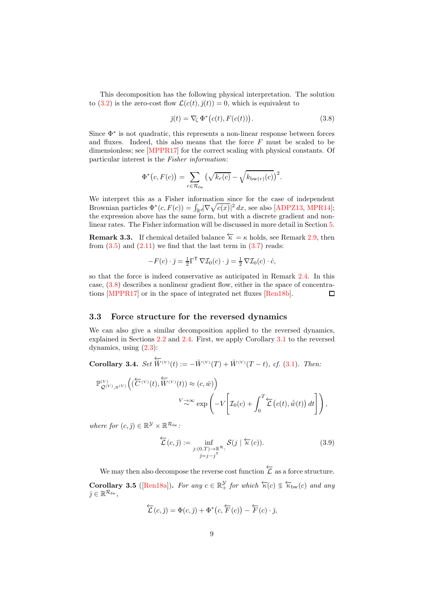This decomposition has the following physical interpretation. The solution to [\(3.2\)](#page-6-3) is the zero-cost flow  $\mathcal{L}(c(t),\bar{j}(t))=0$ , which is equivalent to

<span id="page-8-0"></span>
$$
\bar{j}(t) = \nabla_{\zeta} \Phi^* (c(t), F(c(t))). \qquad (3.8)
$$

Since Φ<sup>∗</sup> is not quadratic, this represents a non-linear response between forces and fluxes. Indeed, this also means that the force  $F$  must be scaled to be dimensionless; see [\[MPPR17\]](#page-14-4) for the correct scaling with physical constants. Of particular interest is the Fisher information:

$$
\Phi^*(c, F(c)) = \sum_{r \in \mathcal{R}_{\text{fw}}} \left( \sqrt{k_r(c)} - \sqrt{k_{\text{bw}(r)}(c)} \right)^2.
$$

We interpret this as a Fisher information since for the case of independent Brownian particles  $\Phi^*(c, F(c)) = \int_{\mathbb{R}^d} |\nabla \sqrt{c(x)}|^2 dx$ , see also [\[ADPZ13,](#page-13-3) [MPR14\]](#page-14-8); the expression above has the same form, but with a discrete gradient and nonlinear rates. The Fisher information will be discussed in more detail in Section [5.](#page-10-0)

<span id="page-8-1"></span>**Remark 3.3.** If chemical detailed balance  $\overline{\kappa} = \kappa$  holds, see Remark [2.9,](#page-6-4) then from  $(3.5)$  and  $(2.11)$  we find that the last term in  $(3.7)$  reads:

$$
-F(c) \cdot \bar{j} = \frac{1}{2} \Gamma^{\mathsf{T}} \nabla \mathcal{I}_0(c) \cdot \bar{j} = \frac{1}{2} \nabla \mathcal{I}_0(c) \cdot \dot{c},
$$

so that the force is indeed conservative as anticipated in Remark [2.4.](#page-4-2) In this case, [\(3.8\)](#page-8-0) describes a nonlinear gradient flow, either in the space of concentrations [\[MPPR17\]](#page-14-4) or in the space of integrated net fluxes [\[Ren18b\]](#page-14-9).  $\Box$ 

#### 3.3 Force structure for the reversed dynamics

We can also give a similar decomposition applied to the reversed dynamics, explained in Sections [2.2](#page-3-3) and [2.4.](#page-5-4) First, we apply Corollary [3.1](#page-7-3) to the reversed dynamics, using [\(2.3\)](#page-4-1):

Corollary 3.4.  $Set \,\overleftarrow{\overline{W}}{}^{(V)}(t) := - \overline{W}{}^{(V)}(T) + \overline{W}{}^{(V)}(T-t)$ , cf. [\(3.1\)](#page-6-5). Then:

$$
\mathbb{P}_{\mathcal{Q}^{(V)},\pi^{(V)}}^{\mathcal{W}}\left((\overleftarrow{C}^{(V)}(t),\overleftarrow{W}^{(V)}(t))\approx(c,\bar{w})\right)\n
$$
V\underset{\sim}{\rightarrow}\infty\exp\left(-V\left[\mathcal{I}_0(c)+\int_0^T\overleftarrow{\mathcal{L}}\left(c(t),\dot{\bar{w}}(t)\right)dt\right]\right),
$$
$$

where for  $(c, \bar{j}) \in \mathbb{R}^{\mathcal{Y}} \times \mathbb{R}^{\mathcal{R}_{\text{fw}}}.$ 

$$
\sum_{j}^{L}(c,\bar{j}) := \inf_{\substack{j:(0,T)\to\mathbb{R}^{\mathcal{R}}:\\ \bar{j}=j-j^{\mathrm{T}}}} \mathcal{S}(j \mid \overleftarrow{\kappa}(c)).
$$
\n(3.9)

We may then also decompose the reverse cost function  $\overleftarrow{\mathcal{L}}$  as a force structure. Corollary 3.5 ([\[Ren18a\]](#page-14-1)). For any  $c \in \mathbb{R}^{\mathcal{Y}}_+$  for which  $\overleftarrow{\kappa}(c) \leq \overleftarrow{\kappa}_{bw}(c)$  and any  $\bar{j} \in \mathbb{R}^{\mathcal{R}_{\text{fw}}},$ 

$$
\overleftarrow{\mathcal{L}}(c,\overline{j}) = \Phi(c,\overline{j}) + \Phi^*(c,\overleftarrow{F}(c)) - \overleftarrow{F}(c) \cdot \overline{j},
$$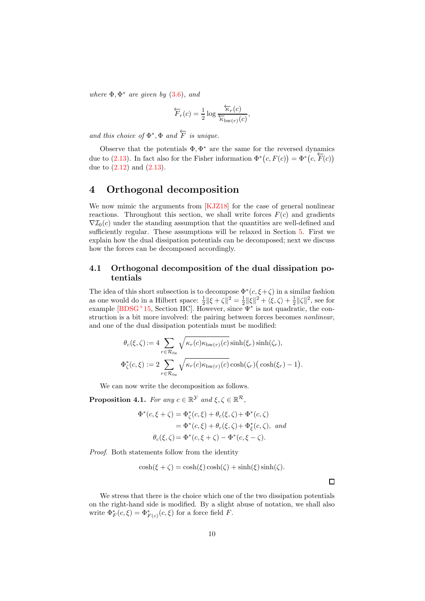where  $\Phi$ ,  $\Phi^*$  are given by  $(3.6)$ , and

$$
\overleftarrow{F}_r(c) = \frac{1}{2} \log \frac{\overleftarrow{\kappa}_r(c)}{\overleftarrow{\kappa}_{\text{bw}(r)}(c)},
$$

and this choice of  $\Phi^*, \Phi$  and  $\overleftarrow{F}$  is unique.

Observe that the potentials  $\Phi, \Phi^*$  are the same for the reversed dynamics due to [\(2.13\)](#page-6-1). In fact also for the Fisher information  $\Phi^*(c, F(c)) = \Phi^*(c, \overleftarrow{F}(c))$ due to  $(2.12)$  and  $(2.13)$ .

### <span id="page-9-0"></span>4 Orthogonal decomposition

We now mimic the arguments from [\[KJZ18\]](#page-13-1) for the case of general nonlinear reactions. Throughout this section, we shall write forces  $F(c)$  and gradients  $\nabla \mathcal{I}_0(c)$  under the standing assumption that the quantities are well-defined and sufficiently regular. These assumptions will be relaxed in Section [5.](#page-10-0) First we explain how the dual dissipation potentials can be decomposed; next we discuss how the forces can be decomposed accordingly.

### 4.1 Orthogonal decomposition of the dual dissipation potentials

The idea of this short subsection is to decompose  $\Phi^*(c, \xi + \zeta)$  in a similar fashion as one would do in a Hilbert space:  $\frac{1}{2} ||\xi + \zeta||^2 = \frac{1}{2} ||\xi||^2 + \langle \xi, \zeta \rangle + \frac{1}{2} ||\zeta||^2$ , see for example  $[BDSG+15,$  Section IIC. However, since  $\Psi^*$  is not quadratic, the construction is a bit more involved: the pairing between forces becomes nonlinear, and one of the dual dissipation potentials must be modified:

$$
\theta_c(\xi, \zeta) := 4 \sum_{r \in \mathcal{R}_{\text{fw}}} \sqrt{\kappa_r(c) \kappa_{\text{bw}(r)}(c)} \sinh(\xi_r) \sinh(\zeta_r),
$$
  

$$
\Phi_{\zeta}^*(c, \xi) := 2 \sum_{r \in \mathcal{R}_{\text{fw}}} \sqrt{\kappa_r(c) \kappa_{\text{bw}(r)}(c)} \cosh(\zeta_r) \left(\cosh(\xi_r) - 1\right).
$$

We can now write the decomposition as follows.

<span id="page-9-1"></span>**Proposition 4.1.** For any  $c \in \mathbb{R}^{\mathcal{Y}}$  and  $\xi, \zeta \in \mathbb{R}^{\mathcal{R}}$ ,

$$
\Phi^*(c,\xi+\zeta) = \Phi^*_{\zeta}(c,\xi) + \theta_c(\xi,\zeta) + \Phi^*(c,\zeta)
$$
  
= 
$$
\Phi^*(c,\xi) + \theta_c(\xi,\zeta) + \Phi^*_{\xi}(c,\zeta), \text{ and}
$$
  

$$
\theta_c(\xi,\zeta) = \Phi^*(c,\xi+\zeta) - \Phi^*(c,\xi-\zeta).
$$

Proof. Both statements follow from the identity

$$
\cosh(\xi + \zeta) = \cosh(\xi)\cosh(\zeta) + \sinh(\xi)\sinh(\zeta).
$$

We stress that there is the choice which one of the two dissipation potentials on the right-hand side is modified. By a slight abuse of notation, we shall also write  $\Phi_F^*(c,\xi) = \Phi_{F(c)}^*(c,\xi)$  for a force field F.

 $\Box$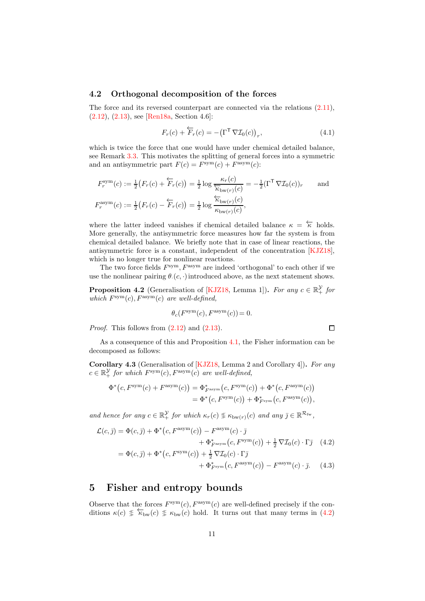#### 4.2 Orthogonal decomposition of the forces

The force and its reversed counterpart are connected via the relations [\(2.11\)](#page-6-2), [\(2.12\)](#page-6-6), [\(2.13\)](#page-6-1), see [\[Ren18a,](#page-14-1) Section 4.6]:

$$
F_r(c) + \overleftarrow{F}_r(c) = -(\Gamma^{\mathsf{T}} \nabla \mathcal{I}_0(c))_r, \tag{4.1}
$$

which is twice the force that one would have under chemical detailed balance, see Remark [3.3.](#page-8-1) This motivates the splitting of general forces into a symmetric and an antisymmetric part  $F(c) = F^{\text{sym}}(c) + F^{\text{asym}}(c)$ :

$$
F_r^{\text{sym}}(c) := \frac{1}{2} \big( F_r(c) + \overleftarrow{F}_r(c) \big) = \frac{1}{2} \log \frac{\kappa_r(c)}{\overleftarrow{\kappa}_{\text{bw}(r)}(c)} = -\frac{1}{2} (\Gamma^{\mathsf{T}} \nabla \mathcal{I}_0(c))_r \quad \text{and}
$$

$$
F_r^{\text{asym}}(c) := \frac{1}{2} \big( F_r(c) - \overleftarrow{F}_r(c) \big) = \frac{1}{2} \log \frac{\overleftarrow{\kappa}_{\text{bw}(r)}(c)}{\kappa_{\text{bw}(r)}(c)},
$$

where the latter indeed vanishes if chemical detailed balance  $\kappa = \overleftarrow{\kappa}$  holds. More generally, the antisymmetric force measures how far the system is from chemical detailed balance. We briefly note that in case of linear reactions, the antisymmetric force is a constant, independent of the concentration [\[KJZ18\]](#page-13-1), which is no longer true for nonlinear reactions.

The two force fields  $F^{\text{sym}}, F^{\text{asym}}$  are indeed 'orthogonal' to each other if we use the nonlinear pairing  $\theta_{\cdot}(c, \cdot)$  introduced above, as the next statement shows.

**Proposition 4.2** (Generalisation of [\[KJZ18,](#page-13-1) Lemma 1]). For any  $c \in \mathbb{R}_+^{\mathcal{Y}}$  for which  $F^{\text{sym}}(c)$ ,  $F^{\text{asym}}(c)$  are well-defined,

$$
\theta_c(F^{\text{\rm sym}}(c), F^{\text{\rm asym}}(c)) = 0.
$$

*Proof.* This follows from  $(2.12)$  and  $(2.13)$ .

As a consequence of this and Proposition [4.1,](#page-9-1) the Fisher information can be decomposed as follows:

<span id="page-10-3"></span>Corollary 4.3 (Generalisation of [\[KJZ18,](#page-13-1) Lemma 2 and Corollary 4]). For any  $c \in \mathbb{R}_+^{\mathcal{Y}}$  for which  $F^{\text{sym}}(c)$ ,  $F^{\text{asym}}(c)$  are well-defined,

$$
\Phi^*(c, F^{\text{sym}}(c) + F^{\text{asym}}(c)) = \Phi^*_{F^{\text{asym}}}(c, F^{\text{sym}}(c)) + \Phi^*(c, F^{\text{asym}}(c))
$$
  
= 
$$
\Phi^*(c, F^{\text{sym}}(c)) + \Phi^*_{F^{\text{sym}}}(c, F^{\text{asym}}(c)),
$$

and hence for any  $c \in \mathbb{R}_+^{\mathcal{Y}}$  for which  $\kappa_r(c) \nleq \kappa_{bw(r)}(c)$  and any  $\bar{\jmath} \in \mathbb{R}^{\mathcal{R}_{fw}}$ ,

$$
\mathcal{L}(c,\bar{j}) = \Phi(c,\bar{j}) + \Phi^*(c, F^{\text{asym}}(c)) - F^{\text{asym}}(c) \cdot \bar{j} \n+ \Phi^*_{F^{\text{asym}}}(c, F^{\text{sym}}(c)) + \frac{1}{2} \nabla \mathcal{I}_0(c) \cdot \Gamma \bar{j} \quad (4.2) \n= \Phi(c,\bar{j}) + \Phi^*(c, F^{\text{sym}}(c)) + \frac{1}{2} \nabla \mathcal{I}_0(c) \cdot \Gamma \bar{j} \n+ \Phi^*_{F^{\text{sym}}}(c, F^{\text{asym}}(c)) - F^{\text{asym}}(c) \cdot \bar{j}. \quad (4.3)
$$

### <span id="page-10-0"></span>5 Fisher and entropy bounds

Observe that the forces  $F^{\text{sym}}(c)$ ,  $F^{\text{asym}}(c)$  are well-defined precisely if the conditions  $\kappa(c) \leq \overleftarrow{\kappa}_{bw}(c) \leq \kappa_{bw}(c)$  hold. It turns out that many terms in [\(4.2\)](#page-10-1)

<span id="page-10-2"></span><span id="page-10-1"></span> $\Box$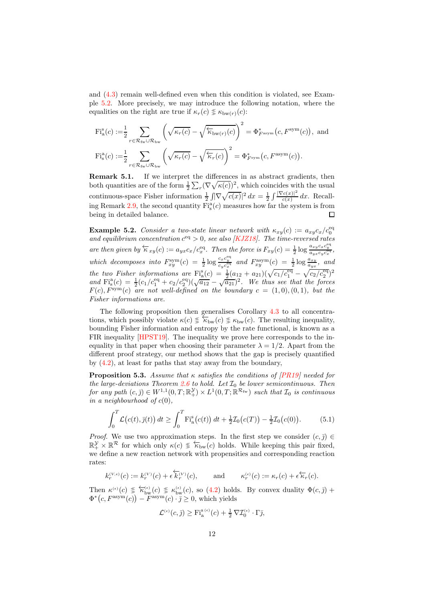and [\(4.3\)](#page-10-2) remain well-defined even when this condition is violated, see Example [5.2.](#page-11-0) More precisely, we may introduce the following notation, where the equalities on the right are true if  $\kappa_r(c) \leq \kappa_{bw(r)}(c)$ :

$$
\begin{split} \mathrm{Fi}_{\mathrm{a}}^{\mathrm{s}}(c) := & \frac{1}{2} \sum_{r \in \mathcal{R}_{\mathrm{fw}} \cup \mathcal{R}_{\mathrm{bw}}} \left( \sqrt{\kappa_r(c)} - \sqrt{\overleftarrow{\kappa}_{\mathrm{bw}(r)}(c)} \right)^2 = \Phi_{F^{\mathrm{asym}}}^*(c, F^{\mathrm{sym}}(c)), \text{ and} \\ \mathrm{Fi}_{\mathrm{s}}^{\mathrm{a}}(c) := & \frac{1}{2} \sum_{r \in \mathcal{R}_{\mathrm{fw}} \cup \mathcal{R}_{\mathrm{bw}}} \left( \sqrt{\kappa_r(c)} - \sqrt{\overleftarrow{\kappa}_r(c)} \right)^2 = \Phi_{F^{\mathrm{sym}}}^*(c, F^{\mathrm{asym}}(c)). \end{split}
$$

**Remark 5.1.** If we interpret the differences in as abstract gradients, then both quantities are of the form  $\frac{1}{2}\sum_{r}(\nabla\sqrt{\kappa(c)})^2$ , which coincides with the usual continuous-space Fisher information  $\frac{1}{2} \int |\nabla \sqrt{c(x)}|^2 dx = \frac{1}{2} \int \frac{|\nabla c(x)|^2}{c(x)}$  $rac{c(x)}{c(x)}$  dx. Recall-ing Remark [2.9,](#page-6-4) the second quantity  $\text{Fi}^{\text{a}}_{\text{s}}(c)$  measures how far the system is from being in detailed balance.  $\Box$ 

<span id="page-11-0"></span>**Example 5.2.** Consider a two-state linear network with  $\kappa_{xy}(c) := a_{xy}c_x/c_0^{\text{eq}}$ and equilibrium concentration  $c^{eq} > 0$ , see also [\[KJZ18\]](#page-13-1). The time-reversed rates are then given by  $\overleftarrow{\kappa}_{xy}(c) := a_{yx}c_x/c_x^{\text{eq}}$ . Then the force is  $F_{xy}(c) = \frac{1}{2} \log \frac{a_{xy}c_x c_y^{\text{eq}}}{a_{yx}c_{y}c_x^{\text{eq}}}$ . x which decomposes into  $F_{xy}^{\text{sym}}(c) = \frac{1}{2} \log \frac{c_x c_y^{\text{eq}}}{c_y c_x^{\text{eq}}}$  and  $F_{xy}^{\text{asym}}(c) = \frac{1}{2} \log \frac{a_{xy}}{a_{yx}}$ , and the two Fisher informations are  $\text{Fi}_{\text{a}}^{\text{s}}(c) = \frac{1}{2}(a_{12} + a_{21})(\sqrt{c_1/c_1^{\text{eq}}} - \sqrt{c_2/c_2^{\text{eq}}})^2$ and  $\text{Fi}_{\text{s}}^{\text{a}}(c) = \frac{1}{2}(c_1/c_1^{\text{eq}} + c_2/c_2^{\text{eq}})(\sqrt{a_{12}} - \sqrt{a_{21}})^2$ . We thus see that the forces  $F(c), F<sup>sym</sup>(c)$  are not well-defined on the boundary  $c = (1,0), (0,1)$ , but the Fisher informations are.

The following proposition then generalises Corollary [4.3](#page-10-3) to all concentrations, which possibly violate  $\kappa(c) \n\leq \kappa_{\text{bw}}(c) \leq \kappa_{\text{bw}}(c)$ . The resulting inequality, bounding Fisher information and entropy by the rate functional, is known as a FIR inequality [\[HPST19\]](#page-13-4). The inequality we prove here corresponds to the inequality in that paper when choosing their parameter  $\lambda = 1/2$ . Apart from the different proof strategy, our method shows that the gap is precisely quantified by [\(4.2\)](#page-10-1), at least for paths that stay away from the boundary,

<span id="page-11-2"></span>**Proposition 5.3.** Assume that  $\kappa$  satisfies the conditions of [\[PR19\]](#page-14-0) needed for the large-deviations Theorem [2.6](#page-5-2) to hold. Let  $\mathcal{I}_0$  be lower semicontinuous. Then for any path  $(c, \bar{j}) \in W^{1,1}(0,T; \mathbb{R}^{\mathcal{Y}}_+) \times L^1(0,T; \mathbb{R}^{\mathcal{R}_{\text{fw}}})$  such that  $\mathcal{I}_0$  is continuous in a neighbourhood of  $c(0)$ ,

<span id="page-11-1"></span>
$$
\int_0^T \mathcal{L}(c(t), \bar{y}(t)) dt \ge \int_0^T \mathrm{Fi}_{\mathrm{a}}^{\mathrm{s}}(c(t)) dt + \frac{1}{2} \mathcal{I}_0(c(T)) - \frac{1}{2} \mathcal{I}_0(c(0)). \tag{5.1}
$$

*Proof.* We use two approximation steps. In the first step we consider  $(c, \overline{j}) \in$  $\mathbb{R}_+^{\mathcal{Y}} \times \mathbb{R}^{\mathcal{R}}$  for which only  $\kappa(c) \text{ and } \kappa(c)$  holds. While keeping this pair fixed, we define a new reaction network with propensities and corresponding reaction rates:

$$
k_r^{(V,\epsilon)}(c) := k_r^{(V)}(c) + \epsilon \overleftarrow{k}_r^{(V)}(c), \quad \text{and} \quad \kappa_r^{(\epsilon)}(c) := \kappa_r(c) + \epsilon \overleftarrow{\kappa}_r(c).
$$

Then  $\kappa^{(\epsilon)}(c) \leqslant \kappa_{\mathrm{bw}}^{(\epsilon)}(c) \leqslant \kappa_{\mathrm{bw}}^{(\epsilon)}(c)$ , so [\(4.2\)](#page-10-1) holds. By convex duality  $\Phi(c,\bar{z})$  +  $\Phi^*(c, F^{\text{asym}}(c)) - F^{\text{asym}}(c) \cdot \bar{\jmath} \geq 0$ , which yields

$$
\mathcal{L}^{(\epsilon)}(c,\bar{y}) \geq \mathrm{Fi}_{\mathrm{a}}^{\mathrm{s}(\epsilon)}(c) + \frac{1}{2}\nabla \mathcal{I}_0^{(\epsilon)} \cdot \Gamma \bar{y},
$$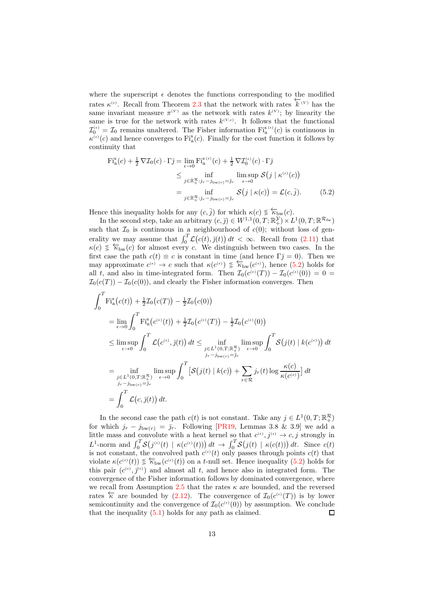where the superscript  $\epsilon$  denotes the functions corresponding to the modified rates  $\kappa^{(\epsilon)}$ . Recall from Theorem [2.3](#page-4-0) that the network with rates  $\overleftarrow{k}^{(V)}$  has the same invariant measure  $\pi^{(V)}$  as the network with rates  $k^{(V)}$ ; by linearity the same is true for the network with rates  $k^{(V,\epsilon)}$ . It follows that the functional  $\mathcal{I}_0^{(\epsilon)} = \mathcal{I}_0$  remains unaltered. The Fisher information  $\mathrm{Fi}_{\mathrm{a}}^{\mathrm{s}(\epsilon)}(c)$  is continuous in  $\kappa^{(\epsilon)}(c)$  and hence converges to  $\mathrm{Fi}_{\mathrm{a}}^{\mathrm{s}}(c)$ . Finally for the cost function it follows by continuity that

<span id="page-12-0"></span>
$$
\begin{split} \mathrm{Fi}_{\mathrm{a}}^{\mathrm{s}}(c) + \frac{1}{2} \nabla \mathcal{I}_{0}(c) \cdot \Gamma \bar{\jmath} &= \lim_{\epsilon \to 0} \mathrm{Fi}_{\mathrm{a}}^{\mathrm{s}(\epsilon)}(c) + \frac{1}{2} \nabla \mathcal{I}_{0}^{(\epsilon)}(c) \cdot \Gamma \bar{\jmath} \\ &\leq \inf_{j \in \mathbb{R}_{+}^{\mathcal{R}} : j_{r} - j_{\mathrm{bw}(r)} = \bar{\jmath}_{r}} \limsup_{\epsilon \to 0} \mathcal{S}\big(j \mid \kappa^{(\epsilon)}(c)\big) \\ &= \inf_{j \in \mathbb{R}_{+}^{\mathcal{R}} : j_{r} - j_{\mathrm{bw}(r)} = \bar{\jmath}_{r}} \mathcal{S}\big(j \mid \kappa(c)\big) = \mathcal{L}(c, \bar{j}). \end{split} \tag{5.2}
$$

Hence this inequality holds for any  $(c, \bar{j})$  for which  $\kappa(c) \leq \overleftarrow{\kappa}_{bw}(c)$ .

In the second step, take an arbitrary  $(c, \bar{j}) \in W^{1,1}(0,T; \mathbb{R}^{\mathcal{Y}}_{+}) \times L^{1}(0,T; \mathbb{R}^{\mathcal{R}_{\text{fw}}})$ such that  $\mathcal{I}_0$  is continuous in a neighbourhood of  $c(0)$ ; without loss of generality we may assume that  $\int_0^T \mathcal{L}(c(t), \bar{g}(t)) dt < \infty$ . Recall from [\(2.11\)](#page-6-2) that  $\kappa(c) \leq \overleftarrow{\kappa}_{bw}(c)$  for almost every c. We distinguish between two cases. In the first case the path  $c(t) \equiv c$  is constant in time (and hence  $\Gamma_{\bar{J}} = 0$ ). Then we may approximate  $c^{(\epsilon)} \to c$  such that  $\kappa(c^{(\epsilon)}) \circledast \overleftarrow{\kappa}_{bw}(c^{(\epsilon)})$ , hence [\(5.2\)](#page-12-0) holds for all t, and also in time-integrated form. Then  $\mathcal{I}_0(c^{(\epsilon)}(T)) - \mathcal{I}_0(c^{(\epsilon)}(0)) = 0 =$  $\mathcal{I}_0(c(T)) - \mathcal{I}_0(c(0))$ , and clearly the Fisher information converges. Then

$$
\int_{0}^{T} \mathrm{Fi}_{a}^{s}(c(t)) + \frac{1}{2}\mathcal{I}_{0}(c(T)) - \frac{1}{2}\mathcal{I}_{0}(c(0))
$$
\n
$$
= \lim_{\epsilon \to 0} \int_{0}^{T} \mathrm{Fi}_{a}^{s}(c^{(\epsilon)}(t)) + \frac{1}{2}\mathcal{I}_{0}(c^{(\epsilon)}(T)) - \frac{1}{2}\mathcal{I}_{0}(c^{(\epsilon)}(0))
$$
\n
$$
\leq \limsup_{\epsilon \to 0} \int_{0}^{T} \mathcal{L}(c^{(\epsilon)}, \bar{\jmath}(t)) dt \leq \inf_{\substack{j \in L^{1}(0, T; \mathbb{R}_{+}^{R}) \\ j_{r} - j_{\text{bw}(r)} = \bar{\jmath}_{r}}} \limsup_{\epsilon \to 0} \int_{0}^{T} \mathcal{S}(j(t) | k(c^{\epsilon})) dt
$$
\n
$$
= \inf_{\substack{j \in L^{1}(0, T; \mathbb{R}_{+}^{R}) \\ j_{r} - j_{\text{bw}(r)} = \bar{\jmath}_{r}}} \limsup_{\epsilon \to 0} \int_{0}^{T} \left[ \mathcal{S}(j(t) | k(c)) + \sum_{r \in \mathcal{R}} j_{r}(t) \log \frac{\kappa(c)}{\kappa(c^{(\epsilon)})} \right] dt
$$
\n
$$
= \int_{0}^{T} \mathcal{L}(c, \bar{\jmath}(t)) dt.
$$

In the second case the path  $c(t)$  is not constant. Take any  $j \in L^1(0,T;\mathbb{R}^{\mathcal{R}}_+)$ for which  $j_r - j_{bw(r)} = \bar{j}_r$ . Following [\[PR19,](#page-14-0) Lemmas 3.8 & 3.9] we add a little mass and convolute with a heat kernel so that  $c^{(\epsilon)}, j^{(\epsilon)} \to c, j$  strongly in L<sup>1</sup>-norm and  $\int_0^T S(j^{(\epsilon)}(t)) \mid \kappa(c^{(\epsilon)}(t)) \mid dt \to \int_0^T S(j(t) \mid \kappa(c(t))) dt$ . Since  $c(t)$ is not constant, the convolved path  $c^{(\epsilon)}(t)$  only passes through points  $c(t)$  that violate  $\kappa(c^{(\epsilon)}(t)) \leq \overleftarrow{\kappa}_{bw}(c^{(\epsilon)}(t))$  on a t-null set. Hence inequality [\(5.2\)](#page-12-0) holds for this pair  $(c^{\epsilon}, \bar{j}^{\epsilon})$  and almost all t, and hence also in integrated form. The convergence of the Fisher information follows by dominated convergence, where we recall from Assumption [2.5](#page-4-3) that the rates  $\kappa$  are bounded, and the reversed rates  $\overleftarrow{\kappa}$  are bounded by [\(2.12\)](#page-6-6). The convergence of  $\mathcal{I}_0(c^{(\epsilon)}(T))$  is by lower semicontinuity and the convergence of  $\mathcal{I}_0(c^{(\epsilon)}(0))$  by assumption. We conclude that the inequality  $(5.1)$  holds for any path as claimed.  $\Box$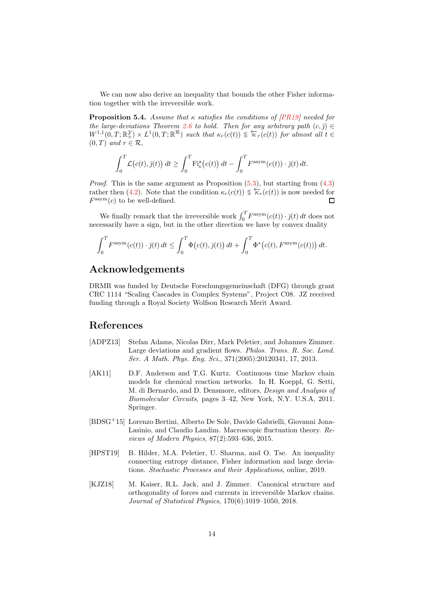We can now also derive an inequality that bounds the other Fisher information together with the irreversible work.

**Proposition 5.4.** Assume that  $\kappa$  satisfies the conditions of [\[PR19\]](#page-14-0) needed for the large-deviations Theorem [2.6](#page-5-2) to hold. Then for any arbitrary path  $(c, \bar{j}) \in$  $W^{1,1}(0,T;\mathbb{R}^{\mathcal{Y}}) \times L^1(0,T;\mathbb{R}^{\mathcal{R}})$  such that  $\kappa_r(c(t)) \text{ } \frac{\sqrt{\kappa_r}}{\kappa_r(c(t))}$  for almost all  $t \in$  $(0, T)$  and  $r \in \mathcal{R}$ ,

$$
\int_0^T \mathcal{L}(c(t), \bar{y}(t)) dt \ge \int_0^T \mathrm{Fi}_s^{\mathrm{a}}(c(t)) dt - \int_0^T F^{\mathrm{asym}}(c(t)) \cdot \bar{y}(t) dt.
$$

*Proof.* This is the same argument as Proposition  $(5.3)$ , but starting from  $(4.3)$ rather then [\(4.2\)](#page-10-1). Note that the condition  $\kappa_r(c(t)) \leq \overleftarrow{\kappa}_r(c(t))$  is now needed for  $F^{\text{asym}}(c)$  to be well-defined. П

We finally remark that the irreversible work  $\int_0^T F^{\text{asym}}(c(t)) \cdot \bar{j}(t) dt$  does not necessarily have a sign, but in the other direction we have by convex duality

$$
\int_0^T F^{\text{asym}}(c(t)) \cdot \bar{j}(t) dt \le \int_0^T \Phi(c(t), \bar{j}(t)) dt + \int_0^T \Phi^*(c(t), F^{\text{asym}}(c(t))) dt.
$$

### Acknowledgements

DRMR was funded by Deutsche Forschungsgemeinschaft (DFG) through grant CRC 1114 "Scaling Cascades in Complex Systems", Project C08. JZ received funding through a Royal Society Wolfson Research Merit Award.

### References

- <span id="page-13-3"></span>[ADPZ13] Stefan Adams, Nicolas Dirr, Mark Peletier, and Johannes Zimmer. Large deviations and gradient flows. *Philos. Trans. R. Soc. Lond.* Ser. A Math. Phys. Eng. Sci., 371(2005):20120341, 17, 2013.
- <span id="page-13-2"></span>[AK11] D.F. Anderson and T.G. Kurtz. Continuous time Markov chain models for chemical reaction networks. In H. Koeppl, G. Setti, M. di Bernardo, and D. Densmore, editors, Design and Analysis of Biomolecular Circuits, pages 3–42, New York, N.Y. U.S.A, 2011. Springer.
- <span id="page-13-0"></span>[BDSG<sup>+</sup>15] Lorenzo Bertini, Alberto De Sole, Davide Gabrielli, Giovanni Jona-Lasinio, and Claudio Landim. Macroscopic fluctuation theory. Reviews of Modern Physics, 87(2):593–636, 2015.
- <span id="page-13-4"></span>[HPST19] B. Hilder, M.A. Peletier, U. Sharma, and O. Tse. An inequality connecting entropy distance, Fisher information and large deviations. Stochastic Processes and their Applications, online, 2019.
- <span id="page-13-1"></span>[KJZ18] M. Kaiser, R.L. Jack, and J. Zimmer. Canonical structure and orthogonality of forces and currents in irreversible Markov chains. Journal of Statistical Physics, 170(6):1019–1050, 2018.